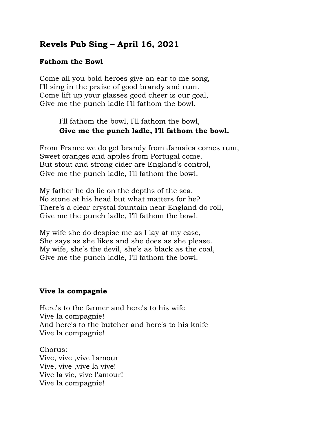# **Revels Pub Sing – April 16, 2021**

#### **Fathom the Bowl**

Come all you bold heroes give an ear to me song, I'll sing in the praise of good brandy and rum. Come lift up your glasses good cheer is our goal, Give me the punch ladle I'll fathom the bowl.

> I'll fathom the bowl, I'll fathom the bowl, **Give me the punch ladle, I**'**ll fathom the bowl.**

From France we do get brandy from Jamaica comes rum, Sweet oranges and apples from Portugal come. But stout and strong cider are England's control, Give me the punch ladle, I'll fathom the bowl.

My father he do lie on the depths of the sea, No stone at his head but what matters for he? There's a clear crystal fountain near England do roll, Give me the punch ladle, I'll fathom the bowl.

My wife she do despise me as I lay at my ease, She says as she likes and she does as she please. My wife, she's the devil, she's as black as the coal, Give me the punch ladle, I'll fathom the bowl.

#### **Vive la compagnie**

Here's to the farmer and here's to his wife Vive la compagnie! And here's to the butcher and here's to his knife Vive la compagnie!

Chorus: Vive, vive ,vive l'amour Vive, vive ,vive la vive! Vive la vie, vive l'amour! Vive la compagnie!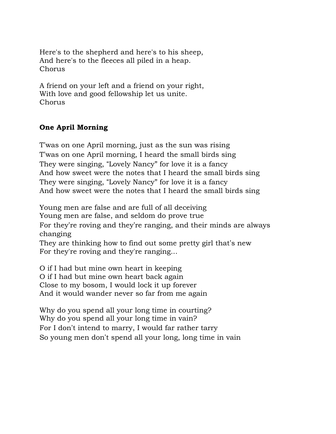Here's to the shepherd and here's to his sheep, And here's to the fleeces all piled in a heap. Chorus

A friend on your left and a friend on your right, With love and good fellowship let us unite. Chorus

## **One April Morning**

T'was on one April morning, just as the sun was rising T'was on one April morning, I heard the small birds sing They were singing, "Lovely Nancy" for love it is a fancy And how sweet were the notes that I heard the small birds sing They were singing, "Lovely Nancy" for love it is a fancy And how sweet were the notes that I heard the small birds sing

Young men are false and are full of all deceiving

Young men are false, and seldom do prove true

For they're roving and they're ranging, and their minds are always changing

They are thinking how to find out some pretty girl that's new For they're roving and they're ranging...

O if I had but mine own heart in keeping O if I had but mine own heart back again Close to my bosom, I would lock it up forever And it would wander never so far from me again

Why do you spend all your long time in courting? Why do you spend all your long time in vain? For I don't intend to marry, I would far rather tarry So young men don't spend all your long, long time in vain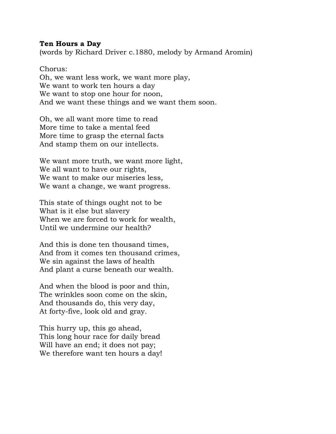#### **Ten Hours a Day**

(words by Richard Driver c.1880, melody by Armand Aromin)

Chorus: Oh, we want less work, we want more play, We want to work ten hours a day We want to stop one hour for noon, And we want these things and we want them soon.

Oh, we all want more time to read More time to take a mental feed More time to grasp the eternal facts And stamp them on our intellects.

We want more truth, we want more light, We all want to have our rights, We want to make our miseries less, We want a change, we want progress.

This state of things ought not to be What is it else but slavery When we are forced to work for wealth, Until we undermine our health?

And this is done ten thousand times, And from it comes ten thousand crimes, We sin against the laws of health And plant a curse beneath our wealth.

And when the blood is poor and thin, The wrinkles soon come on the skin, And thousands do, this very day, At forty-five, look old and gray.

This hurry up, this go ahead, This long hour race for daily bread Will have an end; it does not pay; We therefore want ten hours a day!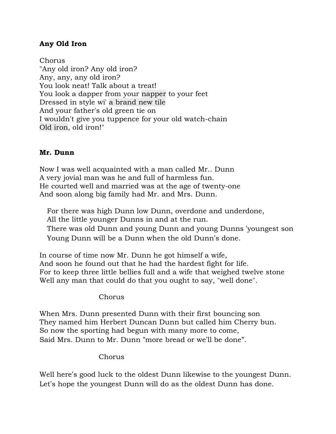### **Any Old Iron**

Chorus "Any old iron? Any old iron? Any, any, any old iron? You look neat! Talk about a treat! You look a dapper from your [napper](https://genius.com/Harry-champion-any-old-iron-lyrics#note-14250890) to your feet Dressed in style wi' a [brand](https://genius.com/Harry-champion-any-old-iron-lyrics#note-13528049) new tile And your father's old green tie on I wouldn't give you tuppence for your old watch-chain Old [iron,](https://genius.com/Harry-champion-any-old-iron-lyrics#note-20205651) old iron!"

#### **Mr. Dunn**

Now I was well acquainted with a man called Mr.. Dunn A very jovial man was he and full of harmless fun. He courted well and married was at the age of twenty-one And soon along big family had Mr. and Mrs. Dunn.

For there was high Dunn low Dunn, overdone and underdone, All the little younger Dunns in and at the run. There was old Dunn and young Dunn and young Dunns 'youngest son Young Dunn will be a Dunn when the old Dunn's done.

In course of time now Mr. Dunn he got himself a wife, And soon he found out that he had the hardest fight for life. For to keep three little bellies full and a wife that weighed twelve stone Well any man that could do that you ought to say, "well done".

#### Chorus

When Mrs. Dunn presented Dunn with their first bouncing son They named him Herbert Duncan Dunn but called him Cherry bun. So now the sporting had begun with many more to come, Said Mrs. Dunn to Mr. Dunn "more bread or we'll be done".

#### Chorus

Well here's good luck to the oldest Dunn likewise to the youngest Dunn. Let's hope the youngest Dunn will do as the oldest Dunn has done.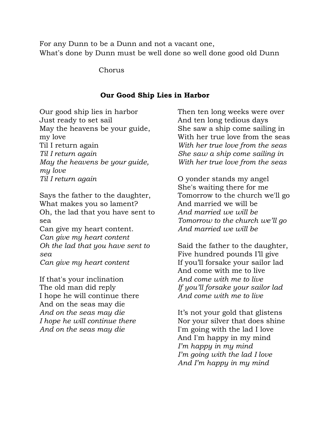For any Dunn to be a Dunn and not a vacant one, What's done by Dunn must be well done so well done good old Dunn

Chorus

#### **Our Good Ship Lies in Harbor**

Our good ship lies in harbor Just ready to set sail May the heavens be your guide, my love Til I return again *Til I return again May the heavens be your guide, my love Til I return again*

Says the father to the daughter, What makes you so lament? Oh, the lad that you have sent to sea Can give my heart content.

*Can give my heart content Oh the lad that you have sent to sea Can give my heart content*

If that's your inclination The old man did reply I hope he will continue there And on the seas may die *And on the seas may die I hope he will continue there And on the seas may die*

Then ten long weeks were over And ten long tedious days She saw a ship come sailing in With her true love from the seas *With her true love from the seas She saw a ship come sailing in With her true love from the seas*

O yonder stands my angel She's waiting there for me Tomorrow to the church we'll go And married we will be *And married we will be Tomorrow to the church we'll go And married we will be*

Said the father to the daughter, Five hundred pounds I'll give If you'll forsake your sailor lad And come with me to live *And come with me to live If you'll forsake your sailor lad And come with me to live*

It's not your gold that glistens Nor your silver that does shine I'm going with the lad I love And I'm happy in my mind *I'm happy in my mind I'm going with the lad I love And I'm happy in my mind*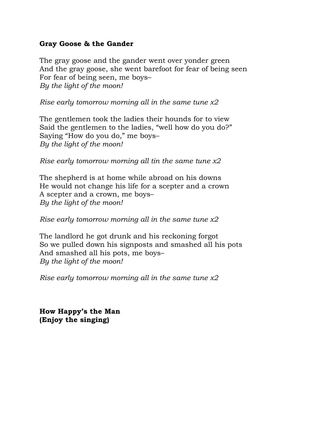#### **Gray Goose & the Gander**

The gray goose and the gander went over yonder green And the gray goose, she went barefoot for fear of being seen For fear of being seen, me boys– *By the light of the moon!*

*Rise early tomorrow morning all in the same tune x2*

The gentlemen took the ladies their hounds for to view Said the gentlemen to the ladies, "well how do you do?" Saying "How do you do," me boys– *By the light of the moon!*

*Rise early tomorrow morning all tin the same tune x2*

The shepherd is at home while abroad on his downs He would not change his life for a scepter and a crown A scepter and a crown, me boys– *By the light of the moon!*

*Rise early tomorrow morning all in the same tune x2*

The landlord he got drunk and his reckoning forgot So we pulled down his signposts and smashed all his pots And smashed all his pots, me boys– *By the light of the moon!*

*Rise early tomorrow morning all in the same tune x2*

**How Happy's the Man (Enjoy the singing)**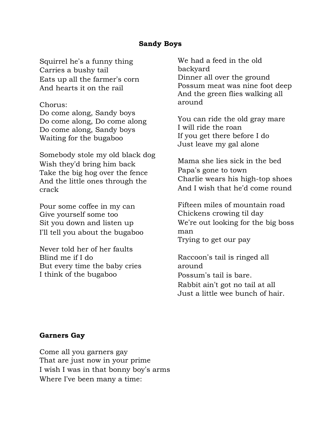#### **Sandy Boys**

Squirrel he's a funny thing Carries a bushy tail Eats up all the farmer's corn And hearts it on the rail

#### Chorus:

Do come along, Sandy boys Do come along, Do come along Do come along, Sandy boys Waiting for the bugaboo

Somebody stole my old black dog Wish they'd bring him back Take the big hog over the fence And the little ones through the crack

Pour some coffee in my can Give yourself some too Sit you down and listen up I'll tell you about the bugaboo

Never told her of her faults Blind me if I do But every time the baby cries I think of the bugaboo

We had a feed in the old backyard Dinner all over the ground Possum meat was nine foot deep And the green flies walking all around

You can ride the old gray mare I will ride the roan If you get there before I do Just leave my gal alone

Mama she lies sick in the bed Papa's gone to town Charlie wears his high-top shoes And I wish that he'd come round

Fifteen miles of mountain road Chickens crowing til day We're out looking for the big boss man Trying to get our pay

Raccoon's tail is ringed all around Possum's tail is bare. Rabbit ain't got no tail at all Just a little wee bunch of hair.

#### **Garners Gay**

Come all you garners gay That are just now in your prime I wish I was in that bonny boy's arms Where I've been many a time: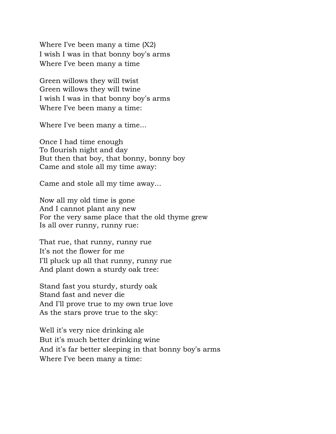Where I've been many a time (X2) I wish I was in that bonny boy's arms Where I've been many a time

Green willows they will twist Green willows they will twine I wish I was in that bonny boy's arms Where I've been many a time:

Where I've been many a time...

Once I had time enough To flourish night and day But then that boy, that bonny, bonny boy Came and stole all my time away:

Came and stole all my time away...

Now all my old time is gone And I cannot plant any new For the very same place that the old thyme grew Is all over runny, runny rue:

That rue, that runny, runny rue It's not the flower for me I'll pluck up all that runny, runny rue And plant down a sturdy oak tree:

Stand fast you sturdy, sturdy oak Stand fast and never die And I'll prove true to my own true love As the stars prove true to the sky:

Well it's very nice drinking ale But it's much better drinking wine And it's far better sleeping in that bonny boy's arms Where I've been many a time: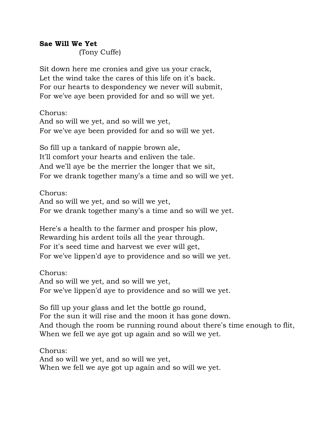#### **Sae Will We Yet**

(Tony Cuffe)

Sit down here me cronies and give us your crack, Let the wind take the cares of this life on it's back. For our hearts to despondency we never will submit, For we've aye been provided for and so will we yet.

Chorus: And so will we yet, and so will we yet, For we've aye been provided for and so will we yet.

So fill up a tankard of nappie brown ale, It'll comfort your hearts and enliven the tale. And we'll aye be the merrier the longer that we sit, For we drank together many's a time and so will we yet.

Chorus: And so will we yet, and so will we yet, For we drank together many's a time and so will we yet.

Here's a health to the farmer and prosper his plow, Rewarding his ardent toils all the year through. For it's seed time and harvest we ever will get, For we've lippen'd aye to providence and so will we yet.

Chorus: And so will we yet, and so will we yet, For we've lippen'd aye to providence and so will we yet.

So fill up your glass and let the bottle go round, For the sun it will rise and the moon it has gone down. And though the room be running round about there's time enough to flit, When we fell we aye got up again and so will we yet.

Chorus: And so will we yet, and so will we yet, When we fell we aye got up again and so will we yet.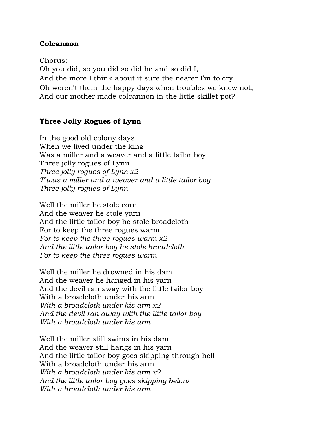#### **Colcannon**

Chorus: Oh you did, so you did so did he and so did I, And the more I think about it sure the nearer I'm to cry. Oh weren't them the happy days when troubles we knew not, And our mother made colcannon in the little skillet pot?

#### **Three Jolly Rogues of Lynn**

In the good old colony days When we lived under the king Was a miller and a weaver and a little tailor boy Three jolly rogues of Lynn *Three jolly rogues of Lynn x2 T'was a miller and a weaver and a little tailor boy Three jolly rogues of Lynn*

Well the miller he stole corn And the weaver he stole yarn And the little tailor boy he stole broadcloth For to keep the three rogues warm *For to keep the three rogues warm x2 And the little tailor boy he stole broadcloth For to keep the three rogues warm*

Well the miller he drowned in his dam And the weaver he hanged in his yarn And the devil ran away with the little tailor boy With a broadcloth under his arm *With a broadcloth under his arm x2 And the devil ran away with the little tailor boy With a broadcloth under his arm*

Well the miller still swims in his dam And the weaver still hangs in his yarn And the little tailor boy goes skipping through hell With a broadcloth under his arm *With a broadcloth under his arm x2 And the little tailor boy goes skipping below With a broadcloth under his arm*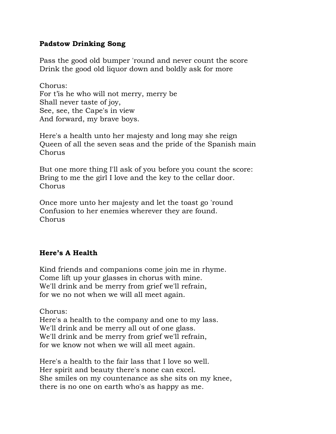### **Padstow Drinking Song**

Pass the good old bumper 'round and never count the score Drink the good old liquor down and boldly ask for more

Chorus: For t'is he who will not merry, merry be Shall never taste of joy, See, see, the Cape's in view And forward, my brave boys.

Here's a health unto her majesty and long may she reign Queen of all the seven seas and the pride of the Spanish main Chorus

But one more thing I'll ask of you before you count the score: Bring to me the girl I love and the key to the cellar door. Chorus

Once more unto her majesty and let the toast go 'round Confusion to her enemies wherever they are found. Chorus

## **Here's A Health**

Kind friends and companions come join me in rhyme. Come lift up your glasses in chorus with mine. We'll drink and be merry from grief we'll refrain, for we no not when we will all meet again.

Chorus:

Here's a health to the company and one to my lass. We'll drink and be merry all out of one glass. We'll drink and be merry from grief we'll refrain, for we know not when we will all meet again.

Here's a health to the fair lass that I love so well. Her spirit and beauty there's none can excel. She smiles on my countenance as she sits on my knee, there is no one on earth who's as happy as me.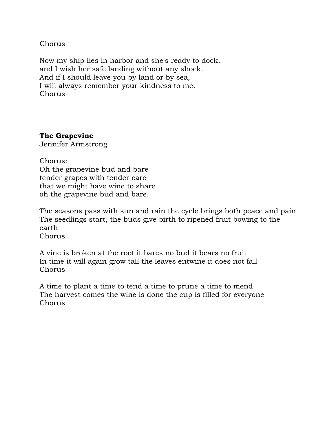Chorus

Now my ship lies in harbor and she's ready to dock, and I wish her safe landing without any shock. And if I should leave you by land or by sea, I will always remember your kindness to me. Chorus

### **The Grapevine**

Jennifer Armstrong

Chorus: Oh the grapevine bud and bare tender grapes with tender care that we might have wine to share oh the grapevine bud and bare.

The seasons pass with sun and rain the cycle brings both peace and pain The seedlings start, the buds give birth to ripened fruit bowing to the earth

Chorus

A vine is broken at the root it bares no bud it bears no fruit In time it will again grow tall the leaves entwine it does not fall Chorus

A time to plant a time to tend a time to prune a time to mend The harvest comes the wine is done the cup is filled for everyone Chorus